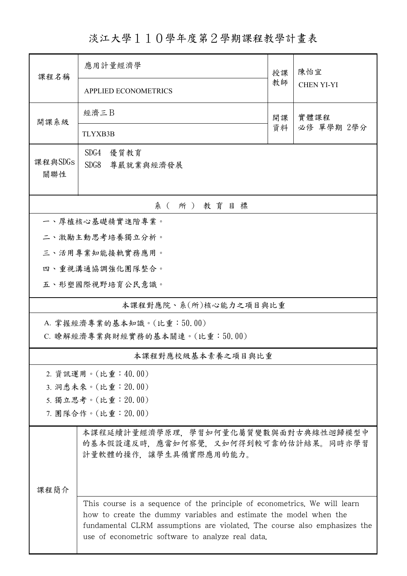淡江大學110學年度第2學期課程教學計畫表

| 課程名稱                                                        | 應用計量經濟學                                                                                                                                                                                                                                                                          |          | 陳怡宜                |  |  |  |
|-------------------------------------------------------------|----------------------------------------------------------------------------------------------------------------------------------------------------------------------------------------------------------------------------------------------------------------------------------|----------|--------------------|--|--|--|
|                                                             | <b>APPLIED ECONOMETRICS</b>                                                                                                                                                                                                                                                      | 教師       | <b>CHEN YI-YI</b>  |  |  |  |
| 開課系級                                                        | 經濟三B                                                                                                                                                                                                                                                                             | 開課<br>資料 | 實體課程<br>必修 單學期 2學分 |  |  |  |
|                                                             | <b>TLYXB3B</b>                                                                                                                                                                                                                                                                   |          |                    |  |  |  |
| 課程與SDGs<br>關聯性                                              | SDG4<br>優質教育<br>SDG8<br>尊嚴就業與經濟發展                                                                                                                                                                                                                                                |          |                    |  |  |  |
| 系(所)教育目標                                                    |                                                                                                                                                                                                                                                                                  |          |                    |  |  |  |
| 一、厚植核心基礎精實進階專業。                                             |                                                                                                                                                                                                                                                                                  |          |                    |  |  |  |
| 二、激勵主動思考培養獨立分析。                                             |                                                                                                                                                                                                                                                                                  |          |                    |  |  |  |
| 三、活用專業知能接軌實務應用。                                             |                                                                                                                                                                                                                                                                                  |          |                    |  |  |  |
|                                                             | 四、重視溝通協調強化團隊整合。                                                                                                                                                                                                                                                                  |          |                    |  |  |  |
| 五、形塑國際視野培育公民意識。                                             |                                                                                                                                                                                                                                                                                  |          |                    |  |  |  |
| 本課程對應院、系(所)核心能力之項目與比重                                       |                                                                                                                                                                                                                                                                                  |          |                    |  |  |  |
| A. 掌握經濟專業的基本知識。(比重:50.00)<br>C. 瞭解經濟專業與財經實務的基本關連。(比重:50.00) |                                                                                                                                                                                                                                                                                  |          |                    |  |  |  |
| 本課程對應校級基本素養之項目與比重                                           |                                                                                                                                                                                                                                                                                  |          |                    |  |  |  |
|                                                             | 2. 資訊運用。(比重:40.00)                                                                                                                                                                                                                                                               |          |                    |  |  |  |
| 3. 洞悉未來。(比重: 20.00)                                         |                                                                                                                                                                                                                                                                                  |          |                    |  |  |  |
| 5. 獨立思考。(比重: 20.00)                                         |                                                                                                                                                                                                                                                                                  |          |                    |  |  |  |
| 7. 團隊合作。(比重: 20.00)                                         |                                                                                                                                                                                                                                                                                  |          |                    |  |  |  |
|                                                             | 本課程延續計量經濟學原理、學習如何量化屬質變數與面對古典線性迴歸模型中<br>的基本假設違反時,應當如何察覺,又如何得到較可靠的估計結果。同時亦學習<br>計量軟體的操作,讓學生具備實際應用的能力。                                                                                                                                                                              |          |                    |  |  |  |
| 课程简介                                                        |                                                                                                                                                                                                                                                                                  |          |                    |  |  |  |
|                                                             | This course is a sequence of the principle of econometrics. We will learn<br>how to create the dummy variables and estimate the model when the<br>fundamental CLRM assumptions are violated. The course also emphasizes the<br>use of econometric software to analyze real data. |          |                    |  |  |  |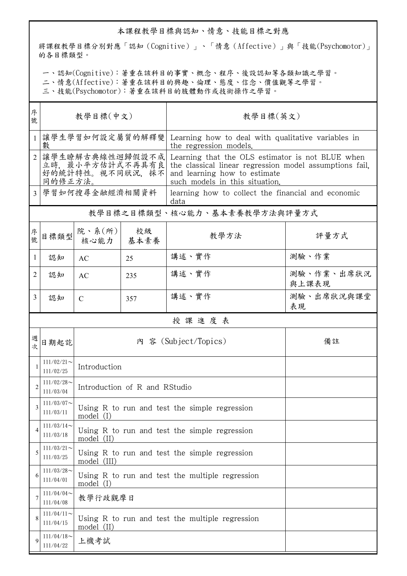## 本課程教學目標與認知、情意、技能目標之對應

將課程教學目標分別對應「認知(Cognitive)」、「情意(Affective)」與「技能(Psychomotor)」 的各目標類型。

一、認知(Cognitive):著重在該科目的事實、概念、程序、後設認知等各類知識之學習。

二、情意(Affective):著重在該科目的興趣、倫理、態度、信念、價值觀等之學習。

三、技能(Psychomotor):著重在該科目的肢體動作或技術操作之學習。

| 序<br>號         | 教學目標(中文)                                                           |                                                               |            | 教學目標(英文)                                                                                                                                                                      |                     |  |  |
|----------------|--------------------------------------------------------------------|---------------------------------------------------------------|------------|-------------------------------------------------------------------------------------------------------------------------------------------------------------------------------|---------------------|--|--|
|                | 讓學生學習如何設定屬質的解釋變<br>數                                               |                                                               |            | Learning how to deal with qualitative variables in<br>the regression models.                                                                                                  |                     |  |  |
| $\mathfrak{D}$ | 讓學生瞭解古典線性迴歸假設不成<br>立時, 最小平方估計式不再具有良<br>好的統計特性。視不同狀況, 採不<br>同的修正方法。 |                                                               |            | Learning that the OLS estimator is not BLUE when<br>the classical linear regression model assumptions fail,<br>and learning how to estimate<br>such models in this situation. |                     |  |  |
| 3              | 學習如何搜尋金融經濟相關資料                                                     |                                                               |            | learning how to collect the financial and economic<br>data                                                                                                                    |                     |  |  |
|                |                                                                    |                                                               |            | 教學目標之目標類型、核心能力、基本素養教學方法與評量方式                                                                                                                                                  |                     |  |  |
| 序號             | 目標類型                                                               | 院、系(所)<br>核心能力                                                | 校級<br>基本素養 | 教學方法                                                                                                                                                                          | 評量方式                |  |  |
| 1              | 認知                                                                 | AC                                                            | 25         | 講述、實作                                                                                                                                                                         | 測驗、作業               |  |  |
| 2              | 認知                                                                 | AC                                                            | 235        | 講述、實作                                                                                                                                                                         | 測驗、作業、出席狀況<br>與上課表現 |  |  |
| 3              | 認知                                                                 | $\mathcal{C}$                                                 | 357        | 講述、實作                                                                                                                                                                         | 測驗、出席狀況與課堂<br>表現    |  |  |
|                | 授課進度表                                                              |                                                               |            |                                                                                                                                                                               |                     |  |  |
| 週<br>次         | 日期起訖                                                               |                                                               |            | 內 容 (Subject/Topics)                                                                                                                                                          | 備註                  |  |  |
|                | $111/02/21$ ~<br>111/02/25                                         | Introduction                                                  |            |                                                                                                                                                                               |                     |  |  |
| $\overline{2}$ | $111/02/28$ ~<br>111/03/04                                         | Introduction of R and RStudio                                 |            |                                                                                                                                                                               |                     |  |  |
| 3              | $111/03/07$ ~<br>111/03/11                                         | Using R to run and test the simple regression<br>model (I)    |            |                                                                                                                                                                               |                     |  |  |
|                | $111/03/14$ ~<br>111/03/18                                         | Using R to run and test the simple regression<br>model (II)   |            |                                                                                                                                                                               |                     |  |  |
| 5              | $111/03/21$ ~<br>111/03/25                                         | Using R to run and test the simple regression<br>model (III)  |            |                                                                                                                                                                               |                     |  |  |
| 6              | $111/03/28$ ~<br>111/04/01                                         | Using R to run and test the multiple regression<br>model (I)  |            |                                                                                                                                                                               |                     |  |  |
| 7              | $111/04/04$ ~<br>111/04/08                                         | 教學行政觀摩日                                                       |            |                                                                                                                                                                               |                     |  |  |
| 8              | $111/04/11$ ~<br>111/04/15                                         | Using R to run and test the multiple regression<br>model (II) |            |                                                                                                                                                                               |                     |  |  |
| 9              | $111/04/18$ ~<br>111/04/22                                         | 上機考試                                                          |            |                                                                                                                                                                               |                     |  |  |